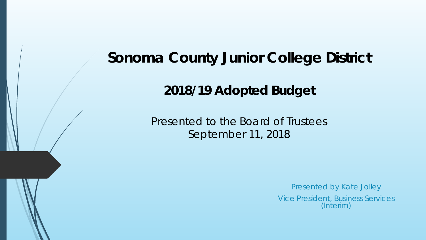# **Sonoma County Junior College District**

**2018/19 Adopted Budget**

Presented to the Board of Trustees September 11, 2018

Presented by Kate Jolley

Vice President, Business Services (Interim)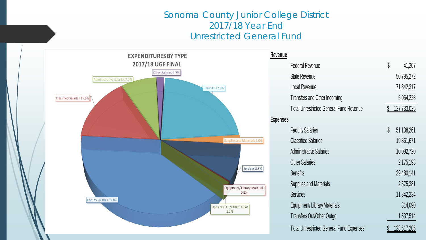## Sonoma County Junior College District 2017/18 Year End Unrestricted General Fund

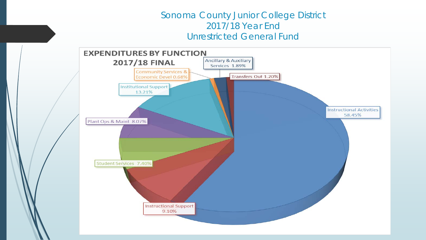## Sonoma County Junior College District 2017/18 Year End Unrestricted General Fund

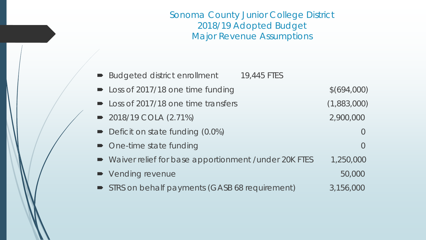Sonoma County Junior College District 2018/19 Adopted Budget Major Revenue Assumptions

| <b>Budgeted district enrollment</b> | 19,445 FTES |
|-------------------------------------|-------------|
|-------------------------------------|-------------|

| • Loss of 2017/18 one time funding                      | \$(694,000) |
|---------------------------------------------------------|-------------|
| • Loss of 2017/18 one time transfers                    | (1,883,000) |
| $\rightarrow$ 2018/19 COLA (2.71%)                      | 2,900,000   |
| • Deficit on state funding (0.0%)                       |             |
| • One-time state funding                                |             |
| • Waiver relief for base apportionment / under 20K FTES | 1,250,000   |
| • Vending revenue                                       | 50,000      |

STRS on behalf payments (GASB 68 requirement) 3,156,000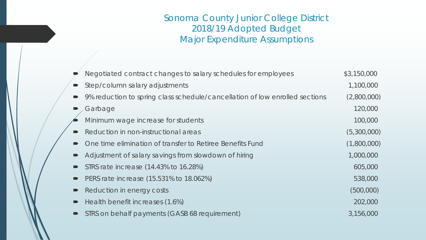# Sonoma County Junior College District 2018/19 Adopted Budget Major Expenditure Assumptions

| Negotiated contract changes to salary schedules for employees               | \$3,150,000 |
|-----------------------------------------------------------------------------|-------------|
| Step/column salary adjustments                                              | 1,100,000   |
| 9% reduction to spring class schedule/cancellation of low enrolled sections | (2,800,000) |
| Garbage                                                                     | 120,000     |
| Minimum wage increase for students                                          | 100,000     |
| Reduction in non-instructional areas                                        | (5,300,000) |
| One time elimination of transfer to Retiree Benefits Fund                   | (1,800,000) |
| Adjustment of salary savings from slowdown of hiring                        | 1,000,000   |
| STRS rate increase (14.43% to 16.28%)                                       | 605,000     |
| PERS rate increase (15.531% to 18.062%)                                     | 538,000     |
| Reduction in energy costs                                                   | (500,000)   |
| Health benefit increases (1.6%)                                             | 202,000     |
| STRS on behalf payments (GASB 68 requirement)                               | 3,156,000   |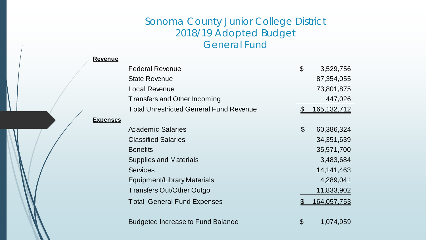# Sonoma County Junior College District 2018/19 Adopted Budget General Fund

| Revenue         |                                                |                           |                    |
|-----------------|------------------------------------------------|---------------------------|--------------------|
|                 | <b>Federal Revenue</b>                         | $\mathcal{L}$             | 3,529,756          |
|                 | <b>State Revenue</b>                           |                           | 87,354,055         |
|                 | <b>Local Revenue</b>                           |                           | 73,801,875         |
|                 | Transfers and Other Incoming                   |                           | 447,026            |
|                 | <b>Total Unrestricted General Fund Revenue</b> |                           | <u>165,132,712</u> |
| <b>Expenses</b> |                                                |                           |                    |
|                 | <b>Academic Salaries</b>                       | $\boldsymbol{\mathsf{S}}$ | 60,386,324         |
|                 | <b>Classified Salaries</b>                     |                           | 34, 351, 639       |
|                 | <b>Benefits</b>                                |                           | 35,571,700         |
|                 | <b>Supplies and Materials</b>                  |                           | 3,483,684          |
|                 | <b>Services</b>                                |                           | 14, 141, 463       |
|                 | Equipment/Library Materials                    |                           | 4,289,041          |
|                 | Transfers Out/Other Outgo                      |                           | 11,833,902         |
|                 | <b>Total General Fund Expenses</b>             |                           | 164,057,753        |
|                 | <b>Budgeted Increase to Fund Balance</b>       | \$                        | 1,074,959          |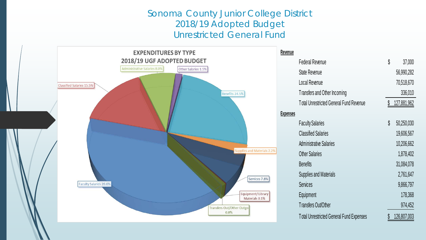#### Sonoma County Junior College District 2018/19 Adopted Budget Unrestricted General Fund

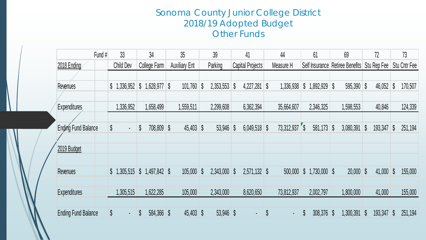# Sonoma County Junior College District 2018/19 Adopted Budget Other Funds

|                            | Fund# | 33                           | 34                       | 35                   | 39             | 41                           | 44                   | 61                                          | 69                                | 72           | 73                       |
|----------------------------|-------|------------------------------|--------------------------|----------------------|----------------|------------------------------|----------------------|---------------------------------------------|-----------------------------------|--------------|--------------------------|
| 2018 Ending                |       | <b>Child Dev</b>             | College Farm             | <b>Auxiliary Ent</b> | Parking        | <b>Capital Projects</b>      | Measure H            |                                             | Self Insurance Retiree Benefits   | Stu Rep Fee  | <b>Stu Cntr Fee</b>      |
|                            |       |                              |                          |                      |                |                              |                      |                                             |                                   |              |                          |
| Revenues                   |       | \$1,336,952                  | \$<br>$1,628,977$ \$     | 101,760              | 2,353,553<br>S | 4,227,281<br>S               | S<br>1,336,938       | $\boldsymbol{\mathsf{S}}$<br>1,892,929      | $\boldsymbol{\S}$<br>$595,390$ \$ | 46,052       | 170,507                  |
|                            |       |                              |                          |                      |                |                              |                      |                                             |                                   |              |                          |
| <b>Expenditures</b>        |       | 1,336,952                    | 1,658,499                | 1,559,511            | 2,299,608      | 6,362,394                    | 35,664,607           | 2,346,325                                   | 1,598,553                         | 40,846       | 124,339                  |
|                            |       |                              |                          |                      |                |                              |                      |                                             |                                   |              |                          |
| <b>Ending Fund Balance</b> |       | $\sqrt[6]{\frac{1}{2}}$<br>٠ | \$<br>708,809 \$         | $45,403$ \$          | 53,946         | S<br>$6,049,518$ \$          | 73,312,937 \$        | 581,173                                     | $\mathbb{S}$<br>3,080,391         | 193,347<br>S | $\mathcal{S}$<br>251,194 |
|                            |       |                              |                          |                      |                |                              |                      |                                             |                                   |              |                          |
| 2019 Budget                |       |                              |                          |                      |                |                              |                      |                                             |                                   |              |                          |
|                            |       |                              |                          |                      |                |                              |                      |                                             |                                   |              |                          |
| Revenues                   |       | \$1,305,515                  | $\int$<br>$1,497,842$ \$ | $105,000$ \$         | 2,343,000      | $2,571,132$ \$<br>$\sqrt{3}$ | 500,000              | $\boldsymbol{\mathsf{S}}$<br>$1,730,000$ \$ | $20,000$ \$                       | $41,000$ \$  | 155,000                  |
|                            |       |                              |                          |                      |                |                              |                      |                                             |                                   |              |                          |
| <b>Expenditures</b>        |       | 1,305,515                    | 1,622,285                | 105,000              | 2,343,000      | 8,620,650                    | 73,812,937           | 2,002,797                                   | 1,800,000                         | 41,000       | 155,000                  |
|                            |       |                              |                          |                      |                |                              |                      |                                             |                                   |              |                          |
| <b>Ending Fund Balance</b> |       | \$<br>$\blacksquare$         | 584,366 \$               | 45,403 \$            | 53,946 \$      |                              | \$<br>$\blacksquare$ | \$<br>308,376                               | 1,300,391<br>$\mathcal{S}$        | 193,347<br>S | 251,194<br>S             |
|                            |       |                              |                          |                      |                |                              |                      |                                             |                                   |              |                          |